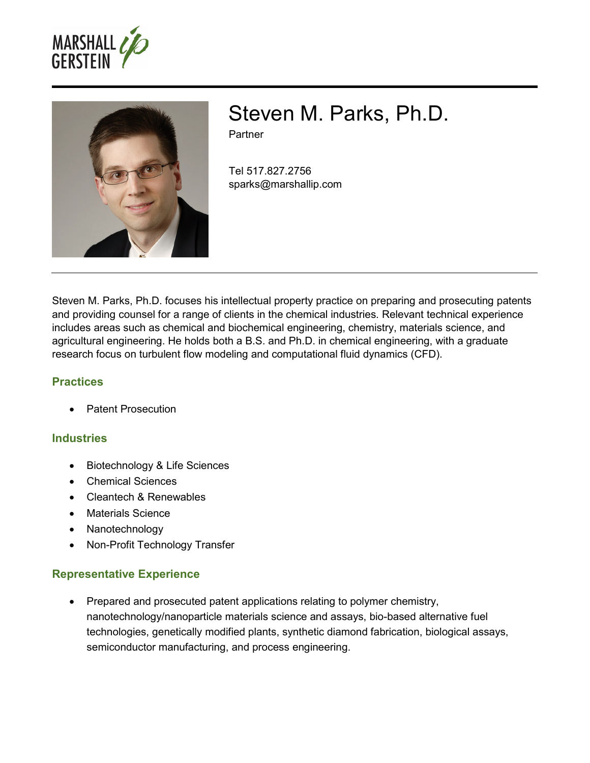



# Steven M. Parks, Ph.D.

Partner

Tel 517.827.2756 sparks@marshallip.com

Steven M. Parks, Ph.D. focuses his intellectual property practice on preparing and prosecuting patents and providing counsel for a range of clients in the chemical industries. Relevant technical experience includes areas such as chemical and biochemical engineering, chemistry, materials science, and agricultural engineering. He holds both a B.S. and Ph.D. in chemical engineering, with a graduate research focus on turbulent flow modeling and computational fluid dynamics (CFD).

## **Practices**

Patent Prosecution

## **Industries**

- Biotechnology & Life Sciences
- Chemical Sciences
- Cleantech & Renewables
- Materials Science
- Nanotechnology
- Non-Profit Technology Transfer

## **Representative Experience**

• Prepared and prosecuted patent applications relating to polymer chemistry, nanotechnology/nanoparticle materials science and assays, bio-based alternative fuel technologies, genetically modified plants, synthetic diamond fabrication, biological assays, semiconductor manufacturing, and process engineering.